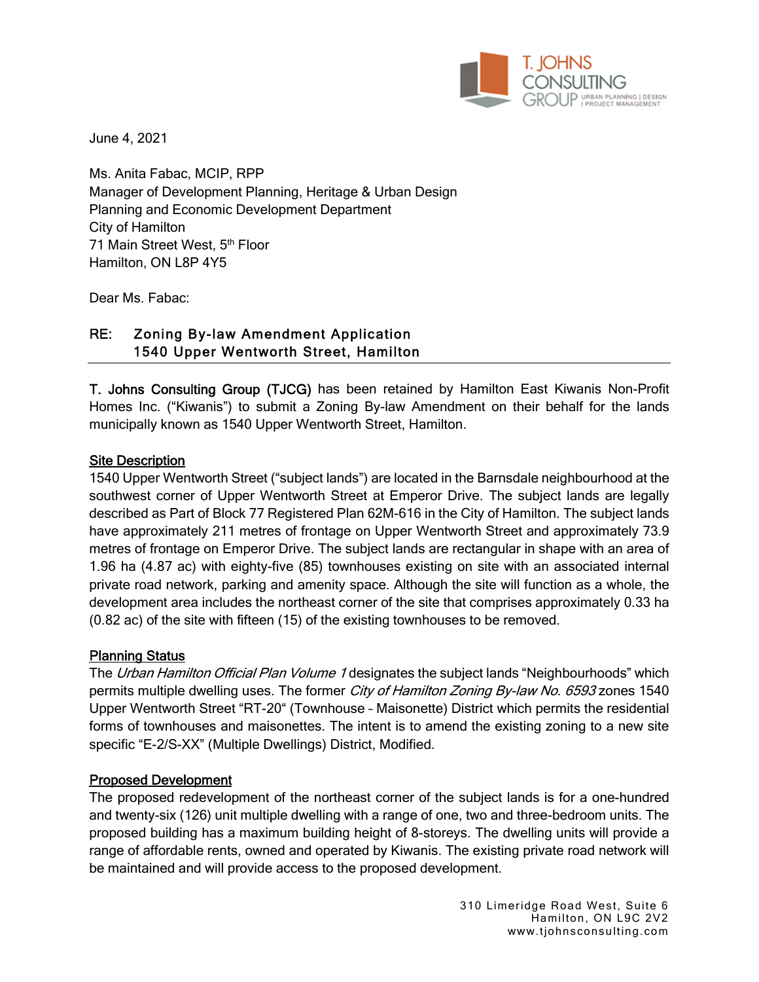

June 4, 2021

Ms. Anita Fabac, MCIP, RPP Manager of Development Planning, Heritage & Urban Design Planning and Economic Development Department City of Hamilton 71 Main Street West, 5th Floor Hamilton, ON L8P 4Y5

Dear Ms. Fabac:

# RE: Zoning By-law Amendment Application 1540 Upper Wentworth Street, Hamilton

T. Johns Consulting Group (TJCG) has been retained by Hamilton East Kiwanis Non-Profit Homes Inc. ("Kiwanis") to submit a Zoning By-law Amendment on their behalf for the lands municipally known as 1540 Upper Wentworth Street, Hamilton.

### Site Description

1540 Upper Wentworth Street ("subject lands") are located in the Barnsdale neighbourhood at the southwest corner of Upper Wentworth Street at Emperor Drive. The subject lands are legally described as Part of Block 77 Registered Plan 62M-616 in the City of Hamilton. The subject lands have approximately 211 metres of frontage on Upper Wentworth Street and approximately 73.9 metres of frontage on Emperor Drive. The subject lands are rectangular in shape with an area of 1.96 ha (4.87 ac) with eighty-five (85) townhouses existing on site with an associated internal private road network, parking and amenity space. Although the site will function as a whole, the development area includes the northeast corner of the site that comprises approximately 0.33 ha (0.82 ac) of the site with fifteen (15) of the existing townhouses to be removed.

### Planning Status

The Urban Hamilton Official Plan Volume 1 designates the subject lands "Neighbourhoods" which permits multiple dwelling uses. The former City of Hamilton Zoning By-law No. 6593 zones 1540 Upper Wentworth Street "RT-20" (Townhouse – Maisonette) District which permits the residential forms of townhouses and maisonettes. The intent is to amend the existing zoning to a new site specific "E-2/S-XX" (Multiple Dwellings) District, Modified.

### Proposed Development

The proposed redevelopment of the northeast corner of the subject lands is for a one-hundred and twenty-six (126) unit multiple dwelling with a range of one, two and three-bedroom units. The proposed building has a maximum building height of 8-storeys. The dwelling units will provide a range of affordable rents, owned and operated by Kiwanis. The existing private road network will be maintained and will provide access to the proposed development.